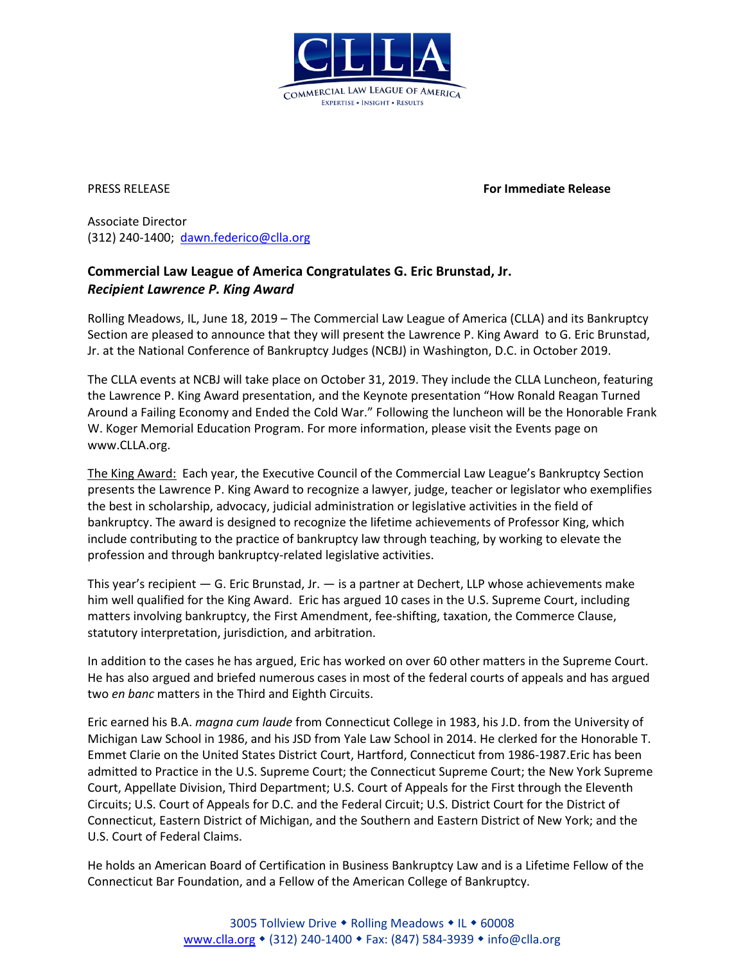

PRESS RELEASE **For Immediate Release**

Associate Director (312) 240-1400; [dawn.federico@clla.org](mailto:dawn.federico@clla.org)

## **Commercial Law League of America Congratulates G. Eric Brunstad, Jr.** *Recipient Lawrence P. King Award*

Rolling Meadows, IL, June 18, 2019 – The Commercial Law League of America (CLLA) and its Bankruptcy Section are pleased to announce that they will present the Lawrence P. King Award to G. Eric Brunstad, Jr. at the National Conference of Bankruptcy Judges (NCBJ) in Washington, D.C. in October 2019.

The CLLA events at NCBJ will take place on October 31, 2019. They include the CLLA Luncheon, featuring the Lawrence P. King Award presentation, and the Keynote presentation "How Ronald Reagan Turned Around a Failing Economy and Ended the Cold War." Following the luncheon will be the Honorable Frank W. Koger Memorial Education Program. For more information, please visit the Events page on www.CLLA.org.

The King Award: Each year, the Executive Council of the Commercial Law League's Bankruptcy Section presents the Lawrence P. King Award to recognize a lawyer, judge, teacher or legislator who exemplifies the best in scholarship, advocacy, judicial administration or legislative activities in the field of bankruptcy. The award is designed to recognize the lifetime achievements of Professor King, which include contributing to the practice of bankruptcy law through teaching, by working to elevate the profession and through bankruptcy-related legislative activities.

This year's recipient — G. Eric Brunstad, Jr. — is a partner at Dechert, LLP whose achievements make him well qualified for the King Award. Eric has argued 10 cases in the U.S. Supreme Court, including matters involving bankruptcy, the First Amendment, fee-shifting, taxation, the Commerce Clause, statutory interpretation, jurisdiction, and arbitration.

In addition to the cases he has argued, Eric has worked on over 60 other matters in the Supreme Court. He has also argued and briefed numerous cases in most of the federal courts of appeals and has argued two *en banc* matters in the Third and Eighth Circuits.

Eric earned his B.A. *magna cum laude* from Connecticut College in 1983, his J.D. from the University of Michigan Law School in 1986, and his JSD from Yale Law School in 2014. He clerked for the Honorable T. Emmet Clarie on the United States District Court, Hartford, Connecticut from 1986-1987.Eric has been admitted to Practice in the U.S. Supreme Court; the Connecticut Supreme Court; the New York Supreme Court, Appellate Division, Third Department; U.S. Court of Appeals for the First through the Eleventh Circuits; U.S. Court of Appeals for D.C. and the Federal Circuit; U.S. District Court for the District of Connecticut, Eastern District of Michigan, and the Southern and Eastern District of New York; and the U.S. Court of Federal Claims.

He holds an American Board of Certification in Business Bankruptcy Law and is a Lifetime Fellow of the Connecticut Bar Foundation, and a Fellow of the American College of Bankruptcy.